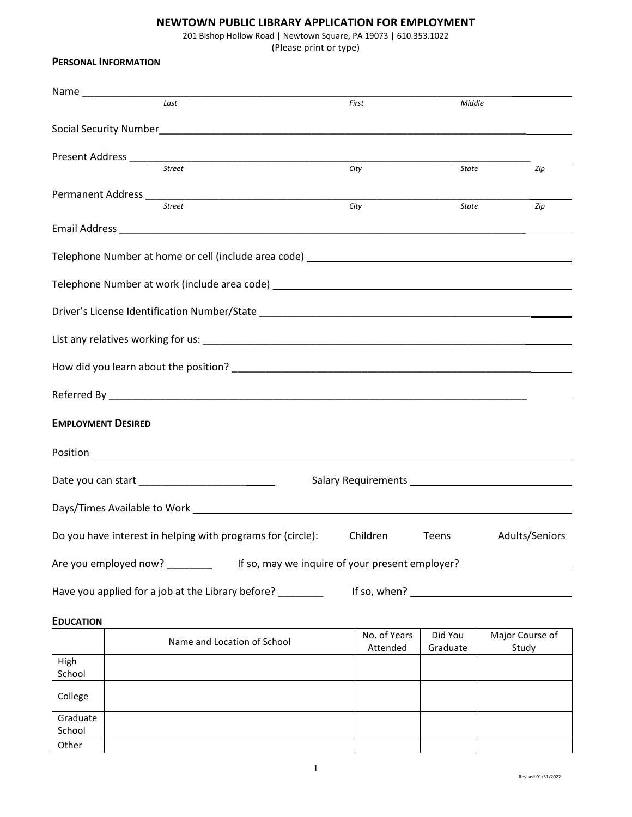## **NEWTOWN PUBLIC LIBRARY APPLICATION FOR EMPLOYMENT**

201 Bishop Hollow Road | Newtown Square, PA 19073 | 610.353.1022

(Please print or type)

| <b>PERSONAL INFORMATION</b>                                                                                                                                                                                                          |                                                                                  |              |                   |
|--------------------------------------------------------------------------------------------------------------------------------------------------------------------------------------------------------------------------------------|----------------------------------------------------------------------------------|--------------|-------------------|
|                                                                                                                                                                                                                                      |                                                                                  |              |                   |
| Last                                                                                                                                                                                                                                 | First                                                                            | Middle       |                   |
|                                                                                                                                                                                                                                      |                                                                                  |              |                   |
|                                                                                                                                                                                                                                      |                                                                                  |              |                   |
| Street                                                                                                                                                                                                                               | City                                                                             | State        | Zip               |
|                                                                                                                                                                                                                                      |                                                                                  |              |                   |
| Street                                                                                                                                                                                                                               | City                                                                             | <b>State</b> | Zip               |
|                                                                                                                                                                                                                                      |                                                                                  |              |                   |
| Telephone Number at home or cell (include area code) ____________________________                                                                                                                                                    |                                                                                  |              |                   |
|                                                                                                                                                                                                                                      |                                                                                  |              |                   |
|                                                                                                                                                                                                                                      |                                                                                  |              |                   |
|                                                                                                                                                                                                                                      |                                                                                  |              |                   |
|                                                                                                                                                                                                                                      |                                                                                  |              |                   |
|                                                                                                                                                                                                                                      |                                                                                  |              |                   |
| <b>EMPLOYMENT DESIRED</b>                                                                                                                                                                                                            |                                                                                  |              |                   |
| Position <b>Provides and Contact Contact Contact Contact Contact Contact Contact Contact Contact Contact Contact Contact Contact Contact Contact Contact Contact Contact Contact Contact Contact Contact Contact Contact Contact</b> |                                                                                  |              |                   |
|                                                                                                                                                                                                                                      | Salary Requirements <b>Salary Requirements</b>                                   |              |                   |
|                                                                                                                                                                                                                                      |                                                                                  |              |                   |
| Do you have interest in helping with programs for (circle):                                                                                                                                                                          | Children                                                                         | Teens        | Adults/Seniors    |
| Are you employed now? ________                                                                                                                                                                                                       | If so, may we inquire of your present employer? ________________________________ |              |                   |
| Have you applied for a job at the Library before? _______                                                                                                                                                                            |                                                                                  |              | If so, when? $\_$ |
|                                                                                                                                                                                                                                      |                                                                                  |              |                   |

## **EDUCATION**

|                    | Name and Location of School | No. of Years<br>Attended | Did You<br>Graduate | Major Course of<br>Study |
|--------------------|-----------------------------|--------------------------|---------------------|--------------------------|
| High<br>School     |                             |                          |                     |                          |
| College            |                             |                          |                     |                          |
| Graduate<br>School |                             |                          |                     |                          |
| Other              |                             |                          |                     |                          |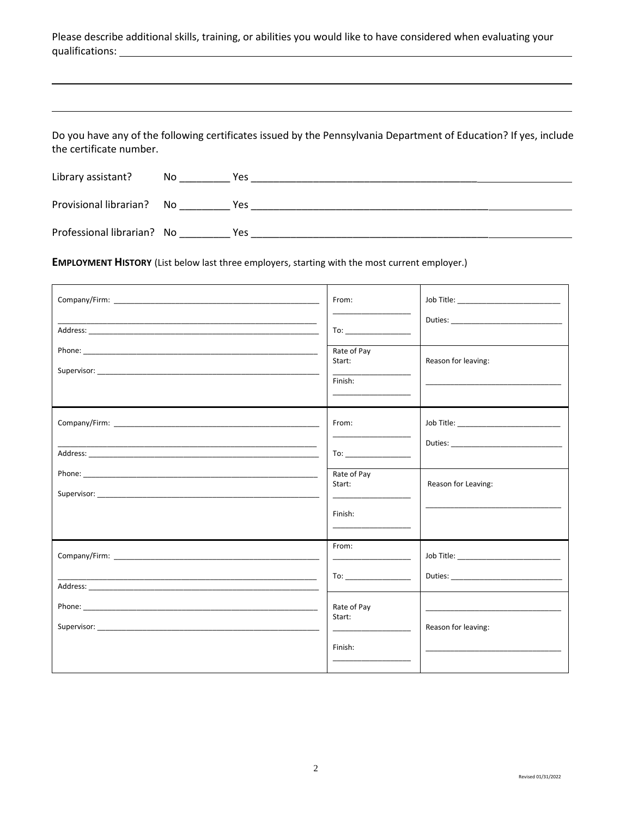|                 | Please describe additional skills, training, or abilities you would like to have considered when evaluating your |  |  |  |  |
|-----------------|------------------------------------------------------------------------------------------------------------------|--|--|--|--|
| qualifications: |                                                                                                                  |  |  |  |  |

Do you have any of the following certificates issued by the Pennsylvania Department of Education? If yes, include the certificate number.

| Library assistant?         | No   | Yes |
|----------------------------|------|-----|
| Provisional librarian?     | - No | Yes |
| Professional librarian? No |      | Yes |

EMPLOYMENT HISTORY (List below last three employers, starting with the most current employer.)

|                                                                                                                      | From:                                                                                                                                                                                                                                                                                                                              | Job Title: _____________________________                                                                                                                                                                                             |
|----------------------------------------------------------------------------------------------------------------------|------------------------------------------------------------------------------------------------------------------------------------------------------------------------------------------------------------------------------------------------------------------------------------------------------------------------------------|--------------------------------------------------------------------------------------------------------------------------------------------------------------------------------------------------------------------------------------|
|                                                                                                                      | $\overline{a}$ To: $\overline{a}$ To: $\overline{a}$ To: $\overline{a}$ To: $\overline{a}$ To: $\overline{a}$ To: $\overline{a}$ To: $\overline{a}$ To: $\overline{a}$ To: $\overline{a}$ To: $\overline{a}$ To: $\overline{a}$ To: $\overline{a}$ To: $\overline{a}$ To: $\overline{a}$ To: $\overline{a}$ To: $\overline{a}$ To: |                                                                                                                                                                                                                                      |
|                                                                                                                      | Rate of Pay<br>Start:<br>Finish:                                                                                                                                                                                                                                                                                                   | Reason for leaving:                                                                                                                                                                                                                  |
|                                                                                                                      | From:                                                                                                                                                                                                                                                                                                                              | Job Title: _______________________________                                                                                                                                                                                           |
|                                                                                                                      | <u> The Communication of the Communication</u><br>To: _____________________                                                                                                                                                                                                                                                        |                                                                                                                                                                                                                                      |
|                                                                                                                      | Rate of Pay<br>Start:<br><u> 1989 - Johann Harry Harry Harry Harry Harry Harry Harry Harry Harry Harry Harry Harry Harry Harry Harry Harry Harry Harry Harry Harry Harry Harry Harry Harry Harry Harry Harry Harry Harry Harry Harry Harry Harry Harry Ha</u>                                                                      | Reason for Leaving:                                                                                                                                                                                                                  |
|                                                                                                                      | Finish:<br><u> De la Carlo de la Carlo de la Carlo de la Carlo de la Carlo de la Carlo de la Carlo de la Carlo de la Carlo de la Carlo de la Carlo de la Carlo de la Carlo de la Carlo de la Carlo de la Carlo de la Carlo de la Carlo de l</u>                                                                                    |                                                                                                                                                                                                                                      |
|                                                                                                                      | From:                                                                                                                                                                                                                                                                                                                              | Job Title: _______________________________                                                                                                                                                                                           |
| <u> 1989 - Johann John Stone, menydd y cyfeiriad y cyfeiriad y gynydd y gynydd y gynydd y gynydd y gynydd y gyny</u> | $\overline{a}$ To: $\overline{a}$ To: $\overline{a}$ To: $\overline{a}$ To: $\overline{a}$ To: $\overline{a}$ To: $\overline{a}$ To: $\overline{a}$ To: $\overline{a}$ To: $\overline{a}$ To: $\overline{a}$ To: $\overline{a}$ To: $\overline{a}$ To: $\overline{a}$ To: $\overline{a}$ To: $\overline{a}$ To: $\overline{a}$ To: |                                                                                                                                                                                                                                      |
|                                                                                                                      | Rate of Pay<br>Start:                                                                                                                                                                                                                                                                                                              | <u> 1989 - Johann Harry Harry Harry Harry Harry Harry Harry Harry Harry Harry Harry Harry Harry Harry Harry Harry Harry Harry Harry Harry Harry Harry Harry Harry Harry Harry Harry Harry Harry Harry Harry Harry Harry Harry Ha</u> |
|                                                                                                                      | <u> Alexandria de la contenentación de la contenenta</u><br>Finish:                                                                                                                                                                                                                                                                | Reason for leaving:                                                                                                                                                                                                                  |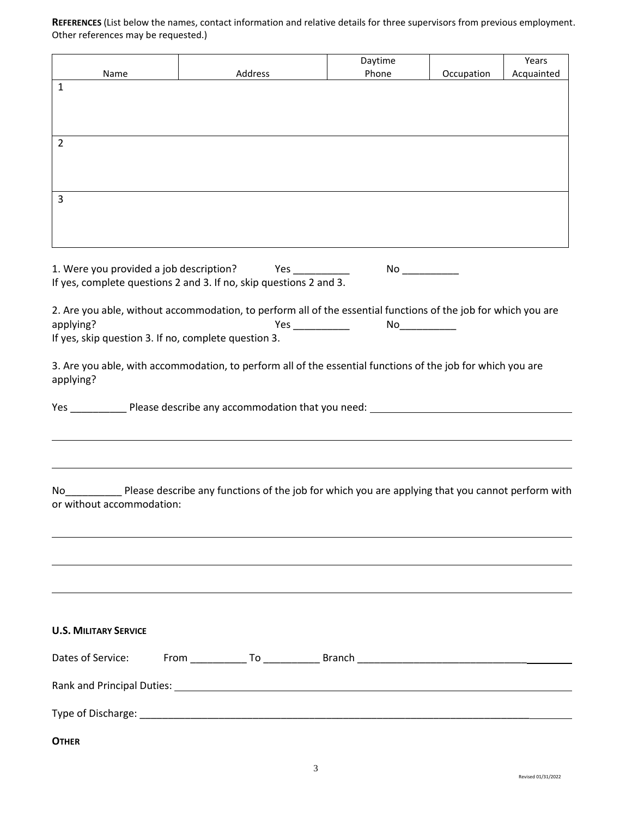**REFERENCES** (List below the names, contact information and relative details for three supervisors from previous employment. Other references may be requested.)

|                                                                                                                                  |         | Daytime           |            | Years      |
|----------------------------------------------------------------------------------------------------------------------------------|---------|-------------------|------------|------------|
| Name<br>1                                                                                                                        | Address | Phone             | Occupation | Acquainted |
|                                                                                                                                  |         |                   |            |            |
|                                                                                                                                  |         |                   |            |            |
| $\overline{2}$                                                                                                                   |         |                   |            |            |
|                                                                                                                                  |         |                   |            |            |
|                                                                                                                                  |         |                   |            |            |
| $\overline{3}$                                                                                                                   |         |                   |            |            |
|                                                                                                                                  |         |                   |            |            |
|                                                                                                                                  |         |                   |            |            |
| 1. Were you provided a job description? Yes __________                                                                           |         |                   |            |            |
| If yes, complete questions 2 and 3. If no, skip questions 2 and 3.                                                               |         |                   |            |            |
| 2. Are you able, without accommodation, to perform all of the essential functions of the job for which you are                   |         |                   |            |            |
| applying?                                                                                                                        |         | Yes _____________ |            |            |
| If yes, skip question 3. If no, complete question 3.                                                                             |         |                   |            |            |
| 3. Are you able, with accommodation, to perform all of the essential functions of the job for which you are<br>applying?         |         |                   |            |            |
| Yes __________________Please describe any accommodation that you need: ____________________________                              |         |                   |            |            |
|                                                                                                                                  |         |                   |            |            |
|                                                                                                                                  |         |                   |            |            |
|                                                                                                                                  |         |                   |            |            |
| No Please describe any functions of the job for which you are applying that you cannot perform with<br>or without accommodation: |         |                   |            |            |
|                                                                                                                                  |         |                   |            |            |
|                                                                                                                                  |         |                   |            |            |
|                                                                                                                                  |         |                   |            |            |
|                                                                                                                                  |         |                   |            |            |
|                                                                                                                                  |         |                   |            |            |
| <b>U.S. MILITARY SERVICE</b>                                                                                                     |         |                   |            |            |
| Dates of Service:                                                                                                                |         |                   |            |            |
|                                                                                                                                  |         |                   |            |            |
|                                                                                                                                  |         |                   |            |            |
| <b>OTHER</b>                                                                                                                     |         |                   |            |            |